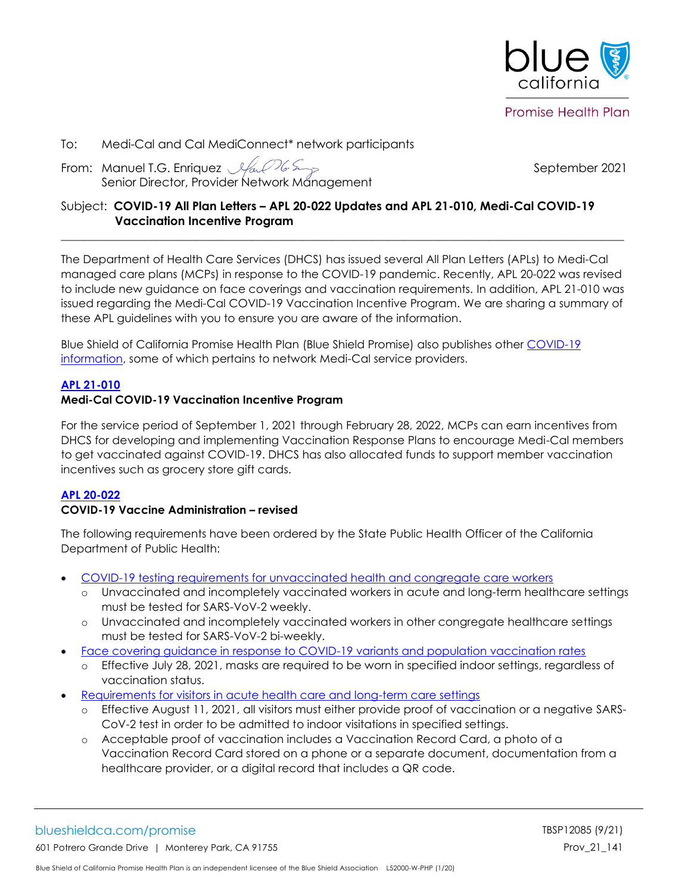

**Promise Health Plan** 

### To: Medi-Cal and Cal MediConnect\* network participants

From: Manuel T.G. Enriquez *Sfact 16 Serger 1992 - September 2021* Senior Director, Provider Network Management

# Subject: **COVID-19 All Plan Letters – APL 20-022 Updates and APL 21-010, Medi-Cal COVID-19 Vaccination Incentive Program**

The Department of Health Care Services (DHCS) has issued several All Plan Letters (APLs) to Medi-Cal managed care plans (MCPs) in response to the COVID-19 pandemic. Recently, APL 20-022 was revised to include new guidance on face coverings and vaccination requirements. In addition, APL 21-010 was issued regarding the Medi-Cal COVID-19 Vaccination Incentive Program. We are sharing a summary of these APL guidelines with you to ensure you are aware of the information.

 $\mathcal{L}_\mathcal{L} = \{ \mathcal{L}_\mathcal{L}, \mathcal{L}_\mathcal{L}, \mathcal{L}_\mathcal{L}, \mathcal{L}_\mathcal{L}, \mathcal{L}_\mathcal{L}, \mathcal{L}_\mathcal{L}, \mathcal{L}_\mathcal{L}, \mathcal{L}_\mathcal{L}, \mathcal{L}_\mathcal{L}, \mathcal{L}_\mathcal{L}, \mathcal{L}_\mathcal{L}, \mathcal{L}_\mathcal{L}, \mathcal{L}_\mathcal{L}, \mathcal{L}_\mathcal{L}, \mathcal{L}_\mathcal{L}, \mathcal{L}_\mathcal{L}, \mathcal{L}_\mathcal{L}, \$ 

Blue Shield of California Promise Health Plan (Blue Shield Promise) also publishes other [COVID-19](https://www.blueshieldca.com/bsca/bsc/wcm/connect/provider/provider_content_en/guidelines_resources/COVID-19-network-providers-info)  [information,](https://www.blueshieldca.com/bsca/bsc/wcm/connect/provider/provider_content_en/guidelines_resources/COVID-19-network-providers-info) some of which pertains to network Medi-Cal service providers.

# **[APL 21-010](https://www.dhcs.ca.gov/Documents/COVID-19/APL-21-010-Vaccine-Incentive.pdf)**

### **Medi-Cal COVID-19 Vaccination Incentive Program**

For the service period of September 1, 2021 through February 28, 2022, MCPs can earn incentives from DHCS for developing and implementing Vaccination Response Plans to encourage Medi-Cal members to get vaccinated against COVID-19. DHCS has also allocated funds to support member vaccination incentives such as grocery store gift cards.

#### **[APL 20-022](https://www.dhcs.ca.gov/formsandpubs/Documents/MMCDAPLsandPolicyLetters/APL2020/APL20-022.pdf)**

#### **COVID-19 Vaccine Administration – revised**

The following requirements have been ordered by the State Public Health Officer of the California Department of Public Health:

- [COVID-19 testing requirements for unvaccinated health and congregate care workers](https://www.cdph.ca.gov/Programs/CID/DCDC/Pages/COVID-19/Order-of-the-State-Public-Health-Officer-Unvaccinated-Workers-In-High-Risk-Settings.aspx)
	- o Unvaccinated and incompletely vaccinated workers in acute and long-term healthcare settings must be tested for SARS-VoV-2 weekly.
	- o Unvaccinated and incompletely vaccinated workers in other congregate healthcare settings must be tested for SARS-VoV-2 bi-weekly.
- [Face covering guidance in response to COVID-19 variants and population vaccination rates](https://www.cdph.ca.gov/Programs/CID/DCDC/Pages/COVID-19/guidance-for-face-coverings.aspx)
	- o Effective July 28, 2021, masks are required to be worn in specified indoor settings, regardless of vaccination status.
- [Requirements for visitors in acute health care and long-term care settings](https://www.cdph.ca.gov/Programs/CID/DCDC/Pages/COVID-19/Order-of-the-State-Public-Health-Officer-Requirements-for-Visitors-in-Acute-Health-Care-and-Long-Term-Care-Settings.aspx)
	- o Effective August 11, 2021, all visitors must either provide proof of vaccination or a negative SARS-CoV-2 test in order to be admitted to indoor visitations in specified settings.
	- o Acceptable proof of vaccination includes a Vaccination Record Card, a photo of a Vaccination Record Card stored on a phone or a separate document, documentation from a healthcare provider, or a digital record that includes a QR code.

# blueshieldca.com/promise TBSP12085 (9/21)

601 Potrero Grande Drive | Monterey Park, CA 91755 Prov\_21\_141